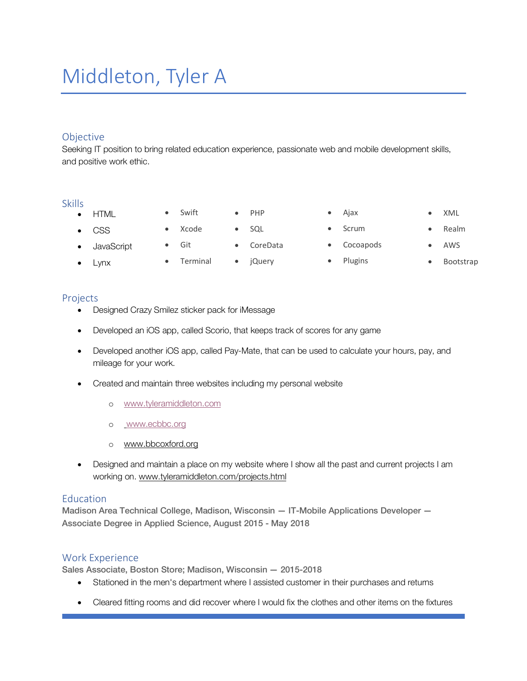# Middleton, Tyler A

## Objective

Seeking IT position to bring related education experience, passionate web and mobile development skills, and positive work ethic.

#### Skills

• HTML

• Lynx

- CSS
- JavaScript
- Git **Terminal**

• Swift • Xcode

- SQL
- CoreData
	-
- Ajax **Scrum**
- Cocoapods
- Plugins
- XML • Realm
- AWS
- Bootstrap

### Projects

- Designed Crazy Smilez sticker pack for iMessage
- Developed an iOS app, called Scorio, that keeps track of scores for any game
- Developed another iOS app, called Pay-Mate, that can be used to calculate your hours, pay, and mileage for your work.
- Created and maintain three websites including my personal website
	- o www.tyleramiddleton.com
	- o www.ecbbc.org
	- o www.bbcoxford.org
- Designed and maintain a place on my website where I show all the past and current projects I am working on. www.tyleramiddleton.com/projects.html

### Education

Madison Area Technical College, Madison, Wisconsin — IT-Mobile Applications Developer — Associate Degree in Applied Science, August 2015 - May 2018

### Work Experience

Sales Associate, Boston Store; Madison, Wisconsin — 2015-2018

- Stationed in the men's department where I assisted customer in their purchases and returns
- Cleared fitting rooms and did recover where I would fix the clothes and other items on the fixtures
- jQuery
- PHP
	- -
- 
-